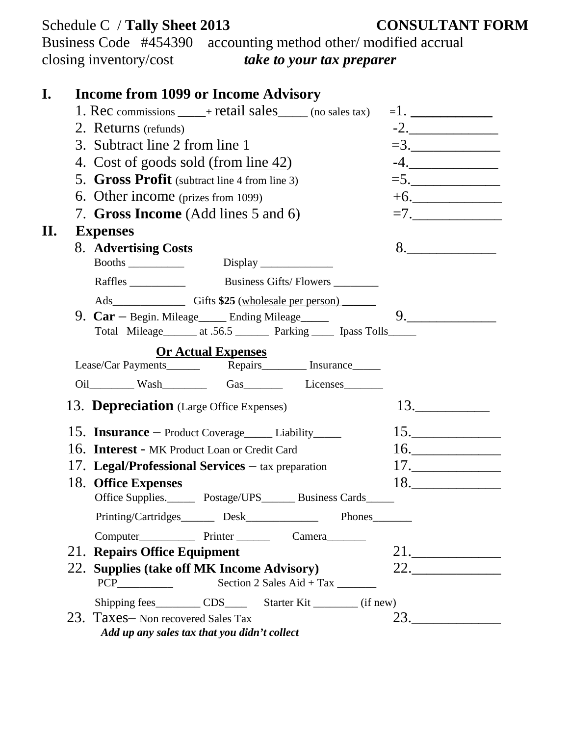|    | Schedule C / Tally Sheet 2013<br>Business Code #454390 accounting method other/modified accrual<br>closing inventory/cost<br>take to your tax preparer | <b>CONSULTANT FORM</b> |
|----|--------------------------------------------------------------------------------------------------------------------------------------------------------|------------------------|
| I. | <b>Income from 1099 or Income Advisory</b>                                                                                                             |                        |
|    | 1. Rec commissions $\_\_\_\$ + retail sales $\_\_\_\$ (no sales tax)                                                                                   | $=1.$                  |
|    | 2. Returns (refunds)                                                                                                                                   | $-2.$                  |
|    | 3. Subtract line 2 from line 1                                                                                                                         | $=3.$                  |
|    | 4. Cost of goods sold (from line 42)                                                                                                                   | $-4.$                  |
|    | 5. Gross Profit (subtract line 4 from line 3)                                                                                                          | $=5.$                  |
|    | 6. Other income (prizes from 1099)                                                                                                                     | $+6.$                  |
|    | 7. Gross Income (Add lines 5 and 6)                                                                                                                    | $=7.$                  |
| П. | <b>Expenses</b>                                                                                                                                        |                        |
|    | 8. Advertising Costs                                                                                                                                   | 8.                     |
|    |                                                                                                                                                        |                        |
|    | Raffles <b>Example 2</b> Business Gifts/ Flowers <b>Example 2</b> Business Gifts/ Flowers <b>EXAMPLE</b>                                               |                        |
|    |                                                                                                                                                        |                        |
|    | 9. $Car - Begin$ . Mileage______ Ending Mileage_____<br>Total Mileage______ at .56.5 _______ Parking _____ Ipass Tolls______                           | 9.                     |
|    | <b>Or Actual Expenses</b>                                                                                                                              |                        |
|    |                                                                                                                                                        |                        |
|    | 13. <b>Depreciation</b> (Large Office Expenses)                                                                                                        | 13.                    |
|    | 15. <b>Insurance</b> – Product Coverage_____ Liability_____                                                                                            | 15.                    |
|    | 16. Interest - MK Product Loan or Credit Card                                                                                                          | 16.                    |
|    | 17. Legal/Professional Services $-$ tax preparation                                                                                                    | 17.                    |
|    | 18. Office Expenses                                                                                                                                    | 18.                    |
|    | Office Supplies. Postage/UPS Business Cards                                                                                                            |                        |
|    |                                                                                                                                                        |                        |
|    |                                                                                                                                                        |                        |
|    | 21. Repairs Office Equipment                                                                                                                           | 21.                    |
|    | 22. Supplies (take off MK Income Advisory)<br>Section 2 Sales Aid + Tax                                                                                | 22.                    |
|    | Shipping fees___________ CDS__________ Starter Kit __________ (if new)                                                                                 |                        |
|    | 23. Taxes- Non recovered Sales Tax<br>Add up any sales tax that you didn't collect                                                                     | 23.                    |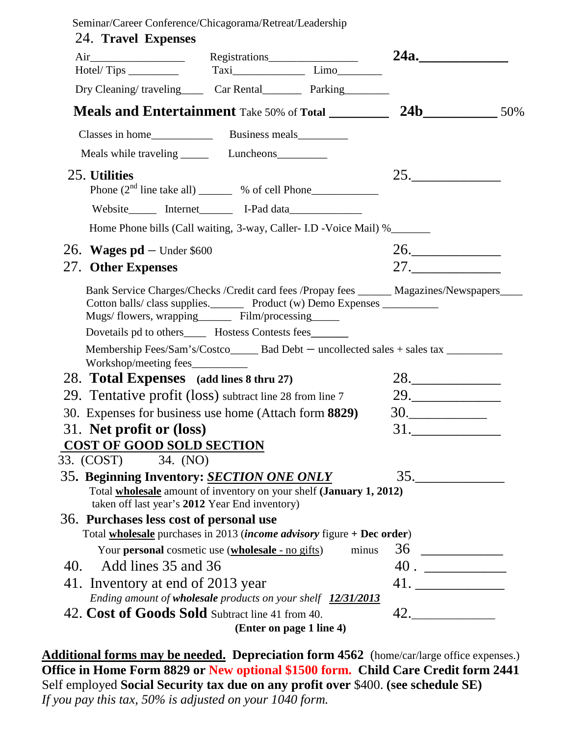| Seminar/Career Conference/Chicagorama/Retreat/Leadership |  |
|----------------------------------------------------------|--|
|                                                          |  |

|                                                                                                                                                                                            |  | Registrations            | 24a.           |  |
|--------------------------------------------------------------------------------------------------------------------------------------------------------------------------------------------|--|--------------------------|----------------|--|
|                                                                                                                                                                                            |  |                          |                |  |
| Dry Cleaning/traveling________ Car Rental____________ Parking___________                                                                                                                   |  |                          |                |  |
| <b>Meals and Entertainment</b> Take 50% of Total _________                                                                                                                                 |  |                          | <b>24b</b> 50% |  |
|                                                                                                                                                                                            |  |                          |                |  |
|                                                                                                                                                                                            |  |                          |                |  |
| 25. Utilities<br>Phone $(2nd$ line take all) $\_\_\_\_\_\$ % of cell Phone                                                                                                                 |  |                          | 25.            |  |
|                                                                                                                                                                                            |  |                          |                |  |
| Home Phone bills (Call waiting, 3-way, Caller- I.D - Voice Mail) %                                                                                                                         |  |                          |                |  |
| 26. Wages $pd$ – Under \$600                                                                                                                                                               |  |                          | 26.            |  |
| 27. Other Expenses                                                                                                                                                                         |  |                          | 27.            |  |
| Bank Service Charges/Checks /Credit card fees /Propay fees ______ Magazines/Newspapers____                                                                                                 |  |                          |                |  |
| Dovetails pd to others______ Hostess Contests fees_______<br>Membership Fees/Sam's/Costco______ Bad Debt - uncollected sales + sales tax ___________<br>Workshop/meeting fees_____________ |  |                          |                |  |
| 28. Total Expenses (add lines 8 thru 27)                                                                                                                                                   |  |                          | 28.            |  |
| 29. Tentative profit (loss) subtract line 28 from line 7                                                                                                                                   |  |                          | 29.            |  |
| 30. Expenses for business use home (Attach form 8829)                                                                                                                                      |  |                          | 30.            |  |
| 31. Net profit or (loss)                                                                                                                                                                   |  |                          |                |  |
| <b>COST OF GOOD SOLD SECTION</b><br>33. (COST) 34. (NO)                                                                                                                                    |  |                          |                |  |
| 35. Beginning Inventory: <b>SECTION ONE ONLY</b>                                                                                                                                           |  |                          | 35.            |  |
| Total <b>wholesale</b> amount of inventory on your shelf (January 1, 2012)<br>taken off last year's 2012 Year End inventory)                                                               |  |                          |                |  |
| 36. Purchases less cost of personal use                                                                                                                                                    |  |                          |                |  |
| Total <b>wholesale</b> purchases in 2013 ( <i>income advisory</i> figure + Dec order)                                                                                                      |  |                          |                |  |
| Your <b>personal</b> cosmetic use ( <b>wholesale</b> - no gifts)                                                                                                                           |  | minus                    | 36             |  |
| Add lines 35 and 36<br>40.                                                                                                                                                                 |  |                          |                |  |
| 41. Inventory at end of 2013 year<br>Ending amount of wholesale products on your shelf 12/31/2013                                                                                          |  |                          |                |  |
| 42. Cost of Goods Sold Subtract line 41 from 40.                                                                                                                                           |  |                          | 42.            |  |
|                                                                                                                                                                                            |  | (Enter on page 1 line 4) |                |  |

**Additional forms may be needed. Depreciation form 4562** (home/car/large office expenses.) **Office in Home Form 8829 or New optional \$1500 form. Child Care Credit form 2441** Self employed **Social Security tax due on any profit over** \$400. **(see schedule SE)** *If you pay this tax, 50% is adjusted on your 1040 form.*